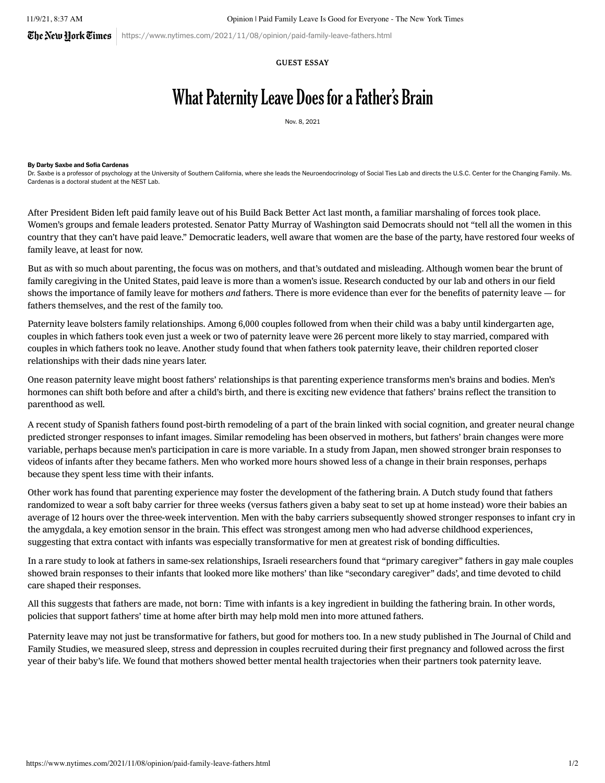The Netu Hork  $\vec{e}$ imes | https://www.nytimes.com/2021/11/08/opinion/paid-family-leave-fathers.html

## GUEST ESSAY

## What Paternity Leave Does for a Father's Brain

Nov. 8, 2021

## By Darby Saxbe and Sofia Cardenas

Dr. Saxbe is a professor of psychology at the University of Southern California, where she leads the [Neuroendocrinology](https://dornsife.usc.edu/nestlab) of Social Ties Lab and directs the U.S.C. Center for the [Changing](https://dornsifecms.usc.edu/labs/usc-ccf/) Family. Ms. Cardenas is a doctoral student at the NEST Lab.

After [President](https://www.nytimes.com/2021/10/28/us/politics/biden-framework-bill-plan.html) Biden left paid family leave out of his Build Back [Better](https://www.whitehouse.gov/briefing-room/statements-releases/2021/10/28/president-biden-announces-the-build-back-better-framework/) Act last month, a familiar marshaling of forces took place. Women's groups and female leaders protested. Senator Patty Murray of [Washington](https://www.washingtonpost.com/us-policy/2021/10/30/manchin-paid-leave/) said Democrats should not "tell all the women in this country that they can't have paid leave." Democratic leaders, well aware that women are the base of the party, have [restored](https://www.nytimes.com/2021/11/03/us/politics/pelosi-paid-leave.html) four weeks of family leave, at least for now.

But as with so much about parenting, the focus was on mothers, and that's outdated and misleading. Although women bear the brunt of family caregiving in the United States, paid leave is more than a women's issue. Research conducted by our lab and others in our field shows the importance of family leave for mothers and fathers. There is more evidence than ever for the benefits of paternity leave — for fathers themselves, and the rest of the family too.

Paternity leave bolsters family relationships. Among 6,000 [couples](https://www.researchgate.net/profile/Daniel-Carlson-4/publication/337260417_If_I_Take_Leave_Will_You_Stay_Paternity_Leave_and_Relationship_Stability/links/5e3ae4d0a6fdccd9658a6f47/If-I-Take-Leave-Will-You-Stay-Paternity-Leave-and-Relationship-Stability.pdf) followed from when their child was a baby until kindergarten age, couples in which fathers took even just a week or two of paternity leave were 26 percent more likely to stay married, compared with couples in which fathers took no leave. [Another](https://link.springer.com/article/10.1007/s11199-019-01050-y) study found that when fathers took paternity leave, their children reported closer relationships with their dads nine years later.

One reason paternity leave might boost fathers' relationships is that parenting experience transforms men's brains and bodies. Men's [hormones](https://pubmed.ncbi.nlm.nih.gov/27604815/) can shift both before and after a child's birth, and there is exciting new evidence that fathers' brains reflect the transition to parenthood as well.

A recent study of [Spanish](https://academic.oup.com/cercorcomms/article/1/1/tgaa082/5955504) fathers found post-birth remodeling of a part of the brain linked with social cognition, and greater neural change predicted stronger responses to infant images. Similar [remodeling](https://www.nature.com/articles/nn.4458) has been observed in mothers, but fathers' brain changes were more variable, perhaps because men's participation in care is more variable. In a study from [Japan,](https://www.researchsquare.com/article/rs-934033/v1?utm_source=researcher_app&utm_medium=referral&utm_campaign=RESR_MRKT_Researcher_inbound) men showed stronger brain responses to videos of infants after they became fathers. Men who worked more hours showed less of a change in their brain responses, perhaps because they spent less time with their infants.

Other work has found that parenting experience may foster the development of the fathering brain. A Dutch study found that fathers randomized to wear a soft baby carrier for three weeks (versus fathers given a baby seat to set up at home instead) wore their babies an average of 12 hours over the three-week intervention. Men with the baby carriers subsequently showed stronger [responses](https://www.sciencedirect.com/science/article/pii/S0306453021002547) to infant cry in the amygdala, a key emotion sensor in the brain. This effect was strongest among men who had adverse childhood experiences, suggesting that extra contact with infants was especially transformative for men at greatest risk of bonding difficulties.

In a rare study to look at fathers in same-sex [relationships,](https://www.pnas.org/content/pnas/111/27/9792.full.pdf) Israeli researchers found that "primary caregiver" fathers in gay male couples showed brain responses to their infants that looked more like mothers' than like "secondary caregiver" dads', and time devoted to child care shaped their responses.

All this suggests that fathers are made, not born: Time with infants is a key ingredient in building the fathering brain. In other words, policies that support fathers' time at home after birth may help mold men into more attuned fathers.

Paternity leave may not just be [transformative](https://link.springer.com/article/10.1007%2Fs10826-021-02139-3) for fathers, but good for mothers too. In a new study published in The Journal of Child and Family Studies, we measured sleep, stress and depression in couples recruited during their first pregnancy and followed across the first year of their baby's life. We found that mothers showed better mental health trajectories when their partners took paternity leave.